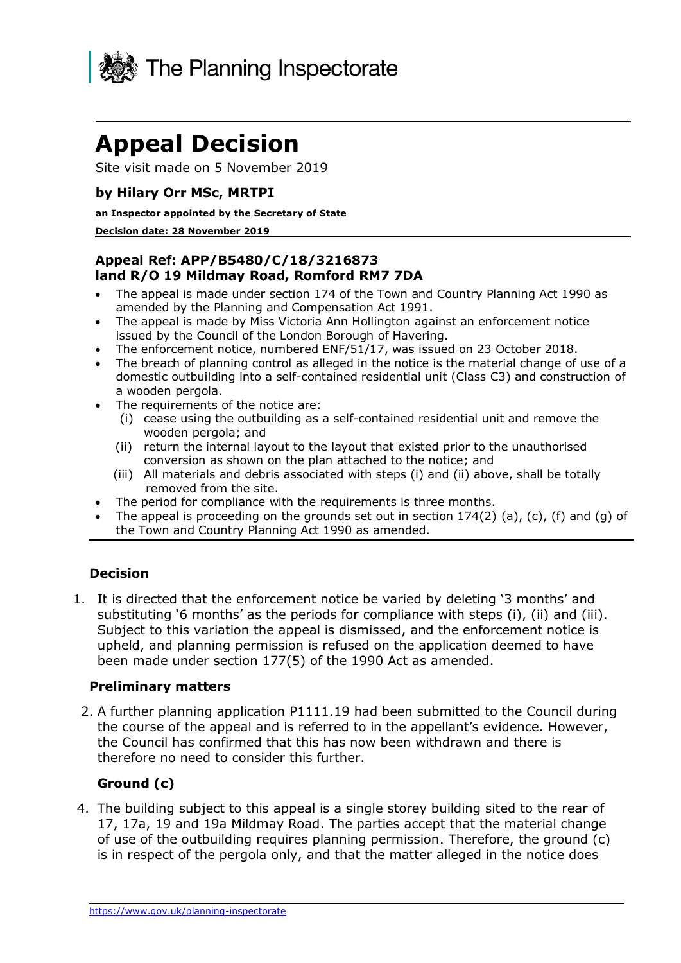

# **Appeal Decision**

Site visit made on 5 November 2019

### **by Hilary Orr MSc, MRTPI**

#### **an Inspector appointed by the Secretary of State**

#### **Decision date: 28 November 2019**

### **Appeal Ref: APP/B5480/C/18/3216873 land R/O 19 Mildmay Road, Romford RM7 7DA**

- • The appeal is made under section 174 of the Town and Country Planning Act 1990 as amended by the Planning and Compensation Act 1991.
- • The appeal is made by Miss Victoria Ann Hollington against an enforcement notice issued by the Council of the London Borough of Havering.
- The enforcement notice, numbered ENF/51/17, was issued on 23 October 2018.
- • The breach of planning control as alleged in the notice is the material change of use of a domestic outbuilding into a self-contained residential unit (Class C3) and construction of a wooden pergola.
- • The requirements of the notice are:
	- (i) cease using the outbuilding as a self-contained residential unit and remove the wooden pergola; and
	- (ii) return the internal layout to the layout that existed prior to the unauthorised conversion as shown on the plan attached to the notice; and
	- (iii) All materials and debris associated with steps (i) and (ii) above, shall be totally removed from the site.
- The period for compliance with the requirements is three months.
- The appeal is proceeding on the grounds set out in section  $174(2)$  (a), (c), (f) and (g) of the Town and Country Planning Act 1990 as amended.

### **Decision**

 1. It is directed that the enforcement notice be varied by deleting '3 months' and substituting '6 months' as the periods for compliance with steps (i), (ii) and (iii). Subject to this variation the appeal is dismissed, and the enforcement notice is upheld, and planning permission is refused on the application deemed to have been made under section 177(5) of the 1990 Act as amended.

#### **Preliminary matters**

 2. A further planning application P1111.19 had been submitted to the Council during the course of the appeal and is referred to in the appellant's evidence. However, the Council has confirmed that this has now been withdrawn and there is therefore no need to consider this further.

### **Ground (c)**

 4. The building subject to this appeal is a single storey building sited to the rear of 17, 17a, 19 and 19a Mildmay Road. The parties accept that the material change of use of the outbuilding requires planning permission. Therefore, the ground (c) is in respect of the pergola only, and that the matter alleged in the notice does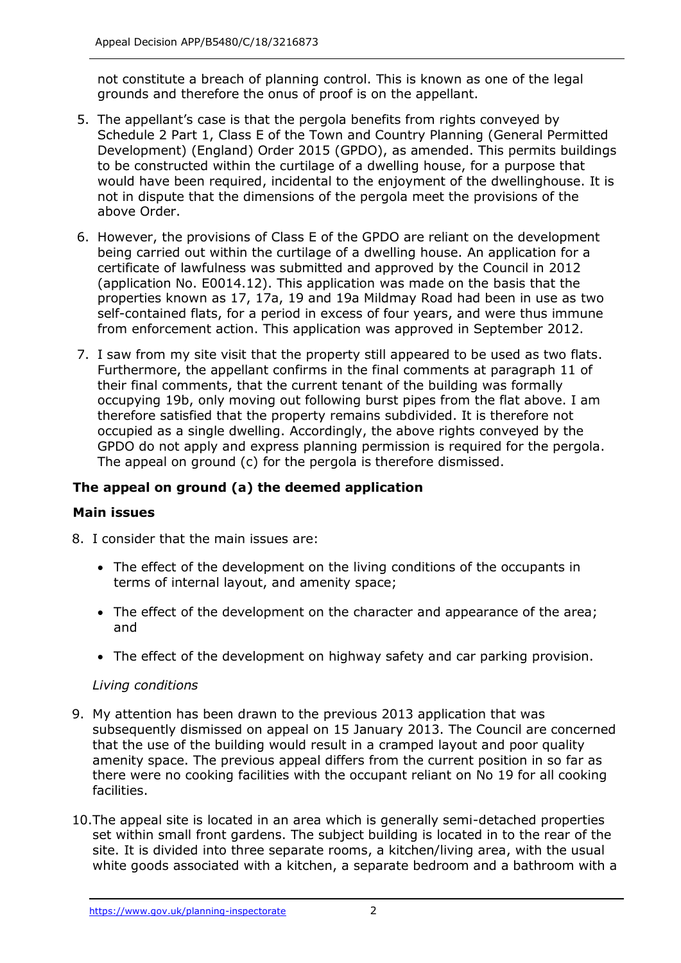not constitute a breach of planning control. This is known as one of the legal grounds and therefore the onus of proof is on the appellant.

- 5. The appellant's case is that the pergola benefits from rights conveyed by Schedule 2 Part 1, Class E of the Town and Country Planning (General Permitted to be constructed within the curtilage of a dwelling house, for a purpose that would have been required, incidental to the enjoyment of the dwellinghouse. It is not in dispute that the dimensions of the pergola meet the provisions of the above Order. Development) (England) Order 2015 (GPDO), as amended. This permits buildings
- 6. However, the provisions of Class E of the GPDO are reliant on the development being carried out within the curtilage of a dwelling house. An application for a certificate of lawfulness was submitted and approved by the Council in 2012 (application No. E0014.12). This application was made on the basis that the properties known as 17, 17a, 19 and 19a Mildmay Road had been in use as two self-contained flats, for a period in excess of four years, and were thus immune from enforcement action. This application was approved in September 2012.
- 7. I saw from my site visit that the property still appeared to be used as two flats. Furthermore, the appellant confirms in the final comments at paragraph 11 of their final comments, that the current tenant of the building was formally occupying 19b, only moving out following burst pipes from the flat above. I am therefore satisfied that the property remains subdivided. It is therefore not occupied as a single dwelling. Accordingly, the above rights conveyed by the GPDO do not apply and express planning permission is required for the pergola. The appeal on ground (c) for the pergola is therefore dismissed.

## **The appeal on ground (a) the deemed application**

### **Main issues**

- 8. I consider that the main issues are:
	- • The effect of the development on the living conditions of the occupants in terms of internal layout, and amenity space;
	- • The effect of the development on the character and appearance of the area; and
	- The effect of the development on highway safety and car parking provision.

#### *Living conditions*

- subsequently dismissed on appeal on 15 January 2013. The Council are concerned that the use of the building would result in a cramped layout and poor quality amenity space. The previous appeal differs from the current position in so far as there were no cooking facilities with the occupant reliant on No 19 for all cooking 9. My attention has been drawn to the previous 2013 application that was facilities.
- 10.The appeal site is located in an area which is generally semi-detached properties set within small front gardens. The subject building is located in to the rear of the site. It is divided into three separate rooms, a kitchen/living area, with the usual white goods associated with a kitchen, a separate bedroom and a bathroom with a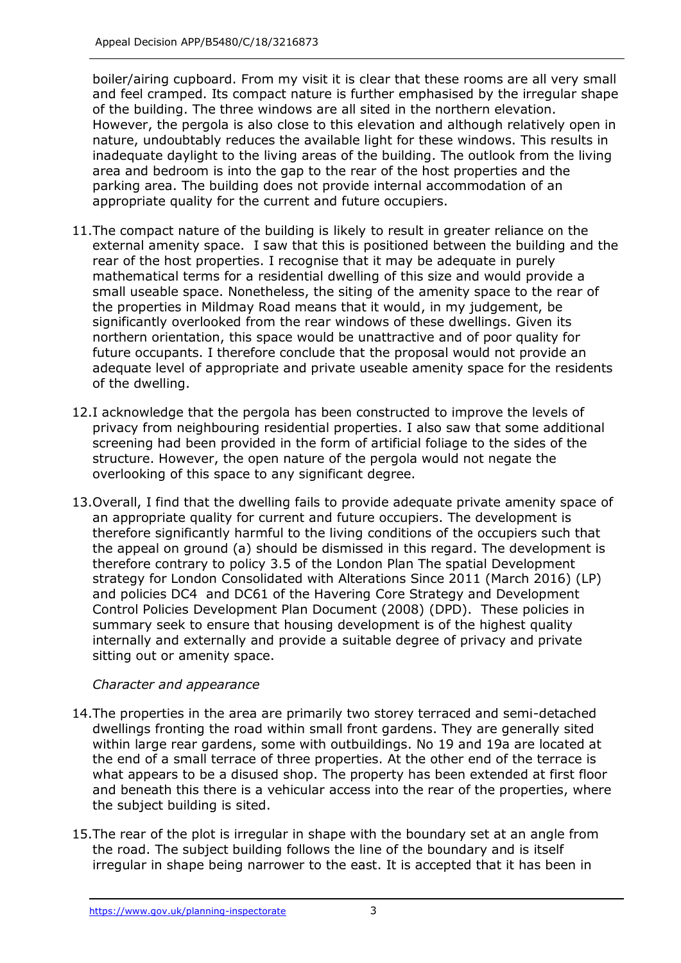boiler/airing cupboard. From my visit it is clear that these rooms are all very small and feel cramped. Its compact nature is further emphasised by the irregular shape of the building. The three windows are all sited in the northern elevation. However, the pergola is also close to this elevation and although relatively open in nature, undoubtably reduces the available light for these windows. This results in inadequate daylight to the living areas of the building. The outlook from the living area and bedroom is into the gap to the rear of the host properties and the parking area. The building does not provide internal accommodation of an appropriate quality for the current and future occupiers.

- 11.The compact nature of the building is likely to result in greater reliance on the external amenity space. I saw that this is positioned between the building and the rear of the host properties. I recognise that it may be adequate in purely mathematical terms for a residential dwelling of this size and would provide a small useable space. Nonetheless, the siting of the amenity space to the rear of the properties in Mildmay Road means that it would, in my judgement, be significantly overlooked from the rear windows of these dwellings. Given its northern orientation, this space would be unattractive and of poor quality for future occupants. I therefore conclude that the proposal would not provide an adequate level of appropriate and private useable amenity space for the residents of the dwelling.
- privacy from neighbouring residential properties. I also saw that some additional screening had been provided in the form of artificial foliage to the sides of the structure. However, the open nature of the pergola would not negate the overlooking of this space to any significant degree. 12.I acknowledge that the pergola has been constructed to improve the levels of
- 13.Overall, I find that the dwelling fails to provide adequate private amenity space of an appropriate quality for current and future occupiers. The development is therefore significantly harmful to the living conditions of the occupiers such that the appeal on ground (a) should be dismissed in this regard. The development is therefore contrary to policy 3.5 of the London Plan The spatial Development strategy for London Consolidated with Alterations Since 2011 (March 2016) (LP) and policies DC4 and DC61 of the Havering Core Strategy and Development Control Policies Development Plan Document (2008) (DPD). These policies in summary seek to ensure that housing development is of the highest quality internally and externally and provide a suitable degree of privacy and private sitting out or amenity space.

### *Character and appearance*

- 14.The properties in the area are primarily two storey terraced and semi-detached dwellings fronting the road within small front gardens. They are generally sited within large rear gardens, some with outbuildings. No 19 and 19a are located at the end of a small terrace of three properties. At the other end of the terrace is what appears to be a disused shop. The property has been extended at first floor and beneath this there is a vehicular access into the rear of the properties, where the subject building is sited.
- 15.The rear of the plot is irregular in shape with the boundary set at an angle from the road. The subject building follows the line of the boundary and is itself irregular in shape being narrower to the east. It is accepted that it has been in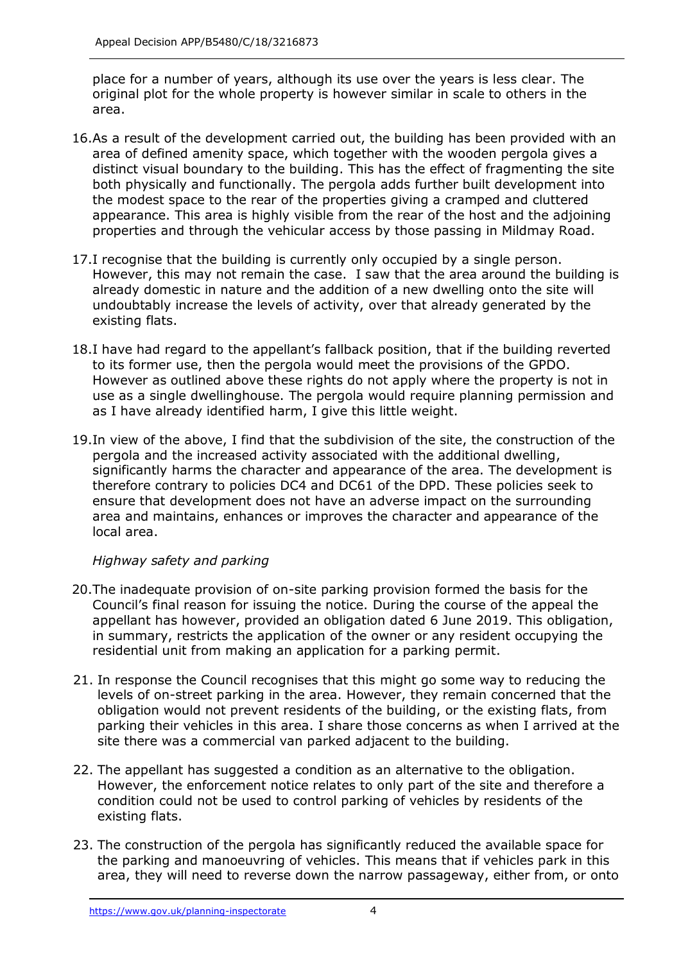place for a number of years, although its use over the years is less clear. The original plot for the whole property is however similar in scale to others in the area.

- 16.As a result of the development carried out, the building has been provided with an area of defined amenity space, which together with the wooden pergola gives a distinct visual boundary to the building. This has the effect of fragmenting the site both physically and functionally. The pergola adds further built development into the modest space to the rear of the properties giving a cramped and cluttered appearance. This area is highly visible from the rear of the host and the adjoining properties and through the vehicular access by those passing in Mildmay Road.
- 17.I recognise that the building is currently only occupied by a single person. However, this may not remain the case. I saw that the area around the building is already domestic in nature and the addition of a new dwelling onto the site will undoubtably increase the levels of activity, over that already generated by the existing flats.
- 18.I have had regard to the appellant's fallback position, that if the building reverted However as outlined above these rights do not apply where the property is not in use as a single dwellinghouse. The pergola would require planning permission and as I have already identified harm, I give this little weight. to its former use, then the pergola would meet the provisions of the GPDO.
- 19.In view of the above, I find that the subdivision of the site, the construction of the pergola and the increased activity associated with the additional dwelling, significantly harms the character and appearance of the area. The development is therefore contrary to policies DC4 and DC61 of the DPD. These policies seek to area and maintains, enhances or improves the character and appearance of the ensure that development does not have an adverse impact on the surrounding local area.

### *Highway safety and parking*

- 20.The inadequate provision of on-site parking provision formed the basis for the Council's final reason for issuing the notice. During the course of the appeal the appellant has however, provided an obligation dated 6 June 2019. This obligation, in summary, restricts the application of the owner or any resident occupying the residential unit from making an application for a parking permit.
- 21. In response the Council recognises that this might go some way to reducing the levels of on-street parking in the area. However, they remain concerned that the obligation would not prevent residents of the building, or the existing flats, from parking their vehicles in this area. I share those concerns as when I arrived at the site there was a commercial van parked adjacent to the building.
- 22. The appellant has suggested a condition as an alternative to the obligation. However, the enforcement notice relates to only part of the site and therefore a condition could not be used to control parking of vehicles by residents of the existing flats.
- 23. The construction of the pergola has significantly reduced the available space for the parking and manoeuvring of vehicles. This means that if vehicles park in this area, they will need to reverse down the narrow passageway, either from, or onto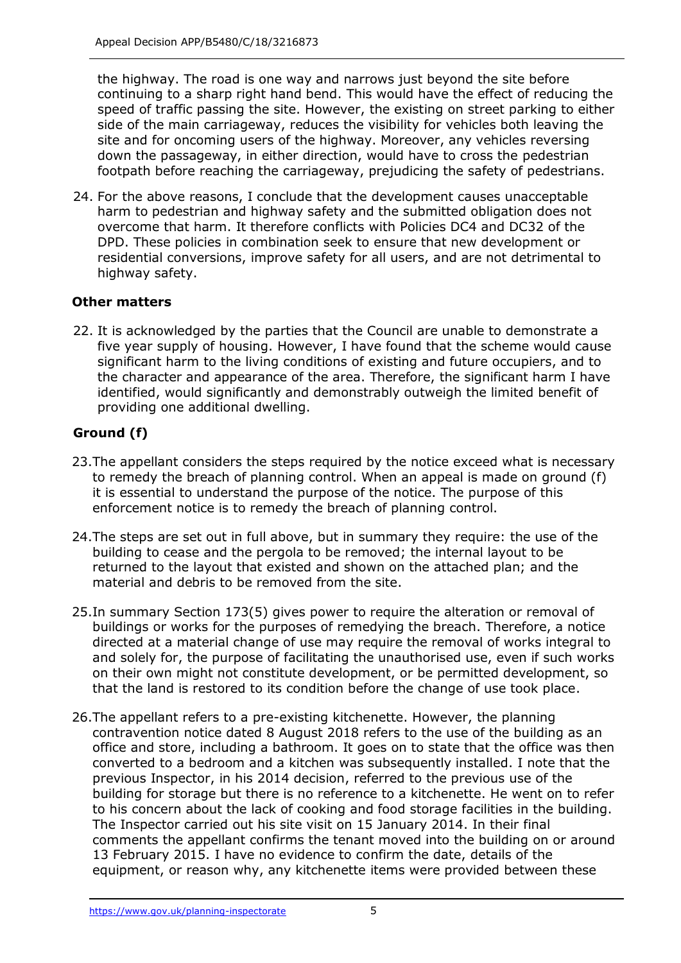the highway. The road is one way and narrows just beyond the site before continuing to a sharp right hand bend. This would have the effect of reducing the speed of traffic passing the site. However, the existing on street parking to either side of the main carriageway, reduces the visibility for vehicles both leaving the site and for oncoming users of the highway. Moreover, any vehicles reversing down the passageway, in either direction, would have to cross the pedestrian footpath before reaching the carriageway, prejudicing the safety of pedestrians.

 24. For the above reasons, I conclude that the development causes unacceptable harm to pedestrian and highway safety and the submitted obligation does not overcome that harm. It therefore conflicts with Policies DC4 and DC32 of the DPD. These policies in combination seek to ensure that new development or residential conversions, improve safety for all users, and are not detrimental to highway safety.

## **Other matters**

 22. It is acknowledged by the parties that the Council are unable to demonstrate a five year supply of housing. However, I have found that the scheme would cause significant harm to the living conditions of existing and future occupiers, and to the character and appearance of the area. Therefore, the significant harm I have identified, would significantly and demonstrably outweigh the limited benefit of providing one additional dwelling.

## **Ground (f)**

- 23.The appellant considers the steps required by the notice exceed what is necessary to remedy the breach of planning control. When an appeal is made on ground (f) it is essential to understand the purpose of the notice. The purpose of this enforcement notice is to remedy the breach of planning control.
- 24.The steps are set out in full above, but in summary they require: the use of the building to cease and the pergola to be removed; the internal layout to be returned to the layout that existed and shown on the attached plan; and the material and debris to be removed from the site.
- 25.In summary Section 173(5) gives power to require the alteration or removal of buildings or works for the purposes of remedying the breach. Therefore, a notice directed at a material change of use may require the removal of works integral to and solely for, the purpose of facilitating the unauthorised use, even if such works on their own might not constitute development, or be permitted development, so that the land is restored to its condition before the change of use took place.
- 26.The appellant refers to a pre-existing kitchenette. However, the planning contravention notice dated 8 August 2018 refers to the use of the building as an office and store, including a bathroom. It goes on to state that the office was then converted to a bedroom and a kitchen was subsequently installed. I note that the previous Inspector, in his 2014 decision, referred to the previous use of the building for storage but there is no reference to a kitchenette. He went on to refer to his concern about the lack of cooking and food storage facilities in the building. The Inspector carried out his site visit on 15 January 2014. In their final comments the appellant confirms the tenant moved into the building on or around 13 February 2015. I have no evidence to confirm the date, details of the equipment, or reason why, any kitchenette items were provided between these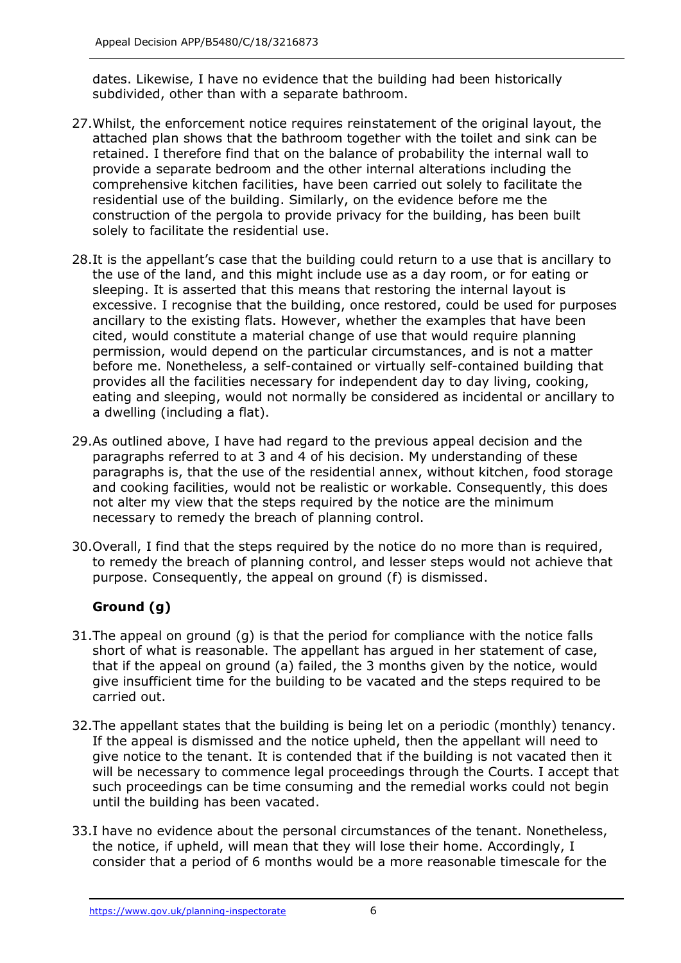dates. Likewise, I have no evidence that the building had been historically subdivided, other than with a separate bathroom.

- 27.Whilst, the enforcement notice requires reinstatement of the original layout, the attached plan shows that the bathroom together with the toilet and sink can be retained. I therefore find that on the balance of probability the internal wall to provide a separate bedroom and the other internal alterations including the comprehensive kitchen facilities, have been carried out solely to facilitate the residential use of the building. Similarly, on the evidence before me the construction of the pergola to provide privacy for the building, has been built solely to facilitate the residential use.
- 28.It is the appellant's case that the building could return to a use that is ancillary to the use of the land, and this might include use as a day room, or for eating or sleeping. It is asserted that this means that restoring the internal layout is excessive. I recognise that the building, once restored, could be used for purposes ancillary to the existing flats. However, whether the examples that have been cited, would constitute a material change of use that would require planning permission, would depend on the particular circumstances, and is not a matter before me. Nonetheless, a self-contained or virtually self-contained building that provides all the facilities necessary for independent day to day living, cooking, eating and sleeping, would not normally be considered as incidental or ancillary to a dwelling (including a flat).
- 29.As outlined above, I have had regard to the previous appeal decision and the paragraphs referred to at 3 and 4 of his decision. My understanding of these paragraphs is, that the use of the residential annex, without kitchen, food storage and cooking facilities, would not be realistic or workable. Consequently, this does not alter my view that the steps required by the notice are the minimum necessary to remedy the breach of planning control.
- 30.Overall, I find that the steps required by the notice do no more than is required, to remedy the breach of planning control, and lesser steps would not achieve that purpose. Consequently, the appeal on ground (f) is dismissed.

# **Ground (g)**

- 31.The appeal on ground (g) is that the period for compliance with the notice falls short of what is reasonable. The appellant has argued in her statement of case, that if the appeal on ground (a) failed, the 3 months given by the notice, would give insufficient time for the building to be vacated and the steps required to be carried out.
- 32.The appellant states that the building is being let on a periodic (monthly) tenancy. If the appeal is dismissed and the notice upheld, then the appellant will need to give notice to the tenant. It is contended that if the building is not vacated then it will be necessary to commence legal proceedings through the Courts. I accept that such proceedings can be time consuming and the remedial works could not begin until the building has been vacated.
- 33.I have no evidence about the personal circumstances of the tenant. Nonetheless, the notice, if upheld, will mean that they will lose their home. Accordingly, I consider that a period of 6 months would be a more reasonable timescale for the